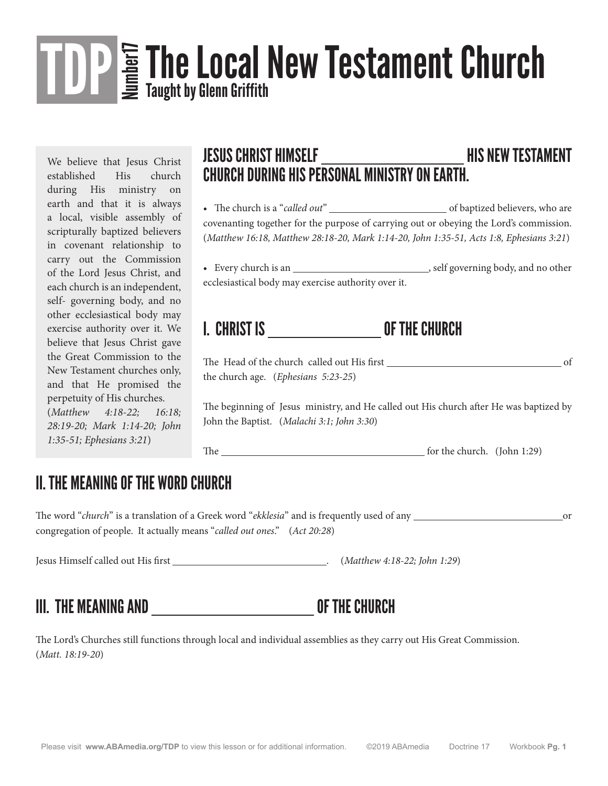# The Local New Testament Church  $\prod_{i} P_i$  and  $\prod_{i} P_i$  and  $\prod_{i} P_i$  and  $\prod_{i} P_i$  and  $\prod_{i} P_i$  are set of the critical contains the containts of the containing of  $\prod_{i} P_i$  and  $\prod_{i} P_i$  and  $\prod_{i} P_i$  are set of  $P_i$  and Taught by Glenn Griffith

We believe that Jesus Christ established His church during His ministry on earth and that it is always a local, visible assembly of scripturally baptized believers in covenant relationship to carry out the Commission of the Lord Jesus Christ, and each church is an independent, self- governing body, and no other ecclesiastical body may exercise authority over it. We believe that Jesus Christ gave the Great Commission to the New Testament churches only, and that He promised the perpetuity of His churches. (*Matthew 4:18-22; 16:18; 28:19-20; Mark 1:14-20; John 1:35-51; Ephesians 3:21*)

### JESUS CHRIST HIMSELF \_\_\_\_\_\_\_\_\_\_\_\_\_\_\_\_\_\_\_\_\_\_\_\_\_\_\_\_\_\_\_\_\_HIS NEW TESTAMENT CHURCH DURING HIS PERSONAL MINISTRY ON EARTH.

• The church is a "*called out*" of baptized believers, who are covenanting together for the purpose of carrying out or obeying the Lord's commission. (*Matthew 16:18, Matthew 28:18-20, Mark 1:14-20, John 1:35-51, Acts 1:8, Ephesians 3:21*)

• Every church is an  $\qquad \qquad$ , self governing body, and no other ecclesiastical body may exercise authority over it.

### I. CHRIST IS OF THE CHURCH

The Head of the church called out His first of the church age. (*Ephesians 5:23-25*)

The beginning of Jesus ministry, and He called out His church after He was baptized by John the Baptist. (*Malachi 3:1; John 3:30*)

The **form of the church.** (John 1:29)

#### II. THE MEANING OF THE WORD CHURCH

The word "*church*" is a translation of a Greek word "*ekklesia*" and is frequently used of any or or or or or or or or or or  $\frac{1}{2}$  or  $\frac{1}{2}$  or  $\frac{1}{2}$  or  $\frac{1}{2}$  or  $\frac{1}{2}$  or  $\frac{1}{2}$  or  $\frac{1}{2}$  or  $\frac{1$ congregation of people. It actually means "*called out ones*." (*Act 20:28*)

Jesus Himself called out His first . (*Matthew 4:18-22; John 1:29*)

#### III. THE MEANING AND OF THE CHURCH

The Lord's Churches still functions through local and individual assemblies as they carry out His Great Commission. (*Matt. 18:19-20*)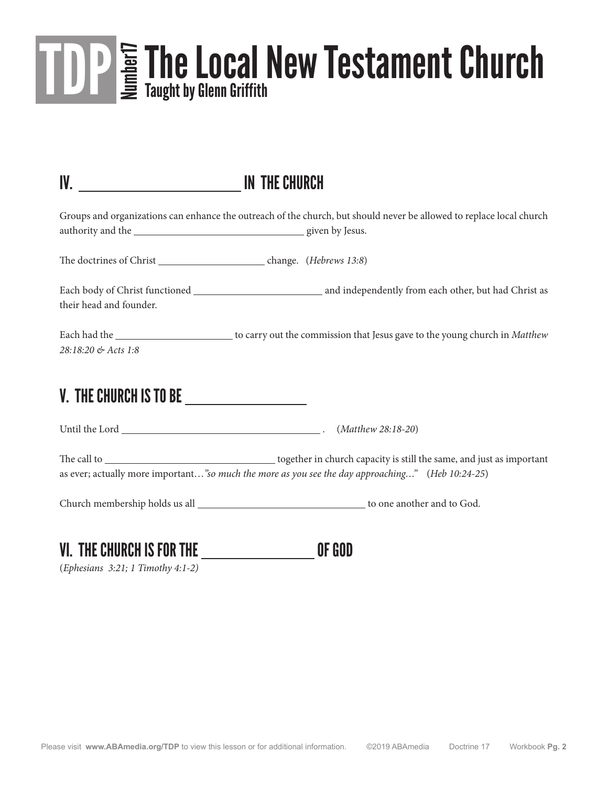# The Local New Testament Church Staw Number 2 Taught by Glenn Griffith Taught by Glenn Griffith

| IV. No. 1994 IN THE CHURCH                           |                                                                                                                       |
|------------------------------------------------------|-----------------------------------------------------------------------------------------------------------------------|
|                                                      | Groups and organizations can enhance the outreach of the church, but should never be allowed to replace local church  |
|                                                      |                                                                                                                       |
| their head and founder.                              |                                                                                                                       |
| 28:18:20 & Acts 1:8                                  | Each had the _____________________________ to carry out the commission that Jesus gave to the young church in Matthew |
| V. THE CHURCH IS TO BE <i>________________</i> _____ |                                                                                                                       |
|                                                      |                                                                                                                       |
|                                                      | as ever; actually more important"so much the more as you see the day approaching" (Heb 10:24-25)                      |
|                                                      |                                                                                                                       |
| <b>VI. THE CHURCH IS FOR THE</b>                     | OF GOD                                                                                                                |

(*Ephesians 3:21; 1 Timothy 4:1-2)*